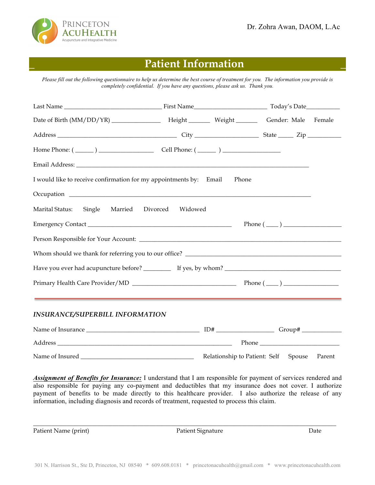

# **\_ Patient Information \_**

*Please fill out the following questionnaire to help us determine the best course of treatment for you. The information you provide is completely confidential. If you have any questions, please ask us. Thank you.*

| Date of Birth (MM/DD/YR) _________________ Height _______ Weight _______ Gender: Male Female |                  |       |                                      |        |
|----------------------------------------------------------------------------------------------|------------------|-------|--------------------------------------|--------|
|                                                                                              |                  |       |                                      |        |
| Home Phone: $(\_\_\_\_)$ $\_\_\_\_\_\_$ Cell Phone: $(\_\_\_\_)$                             |                  |       |                                      |        |
|                                                                                              |                  |       |                                      |        |
| I would like to receive confirmation for my appointments by: Email                           |                  | Phone |                                      |        |
|                                                                                              |                  |       |                                      |        |
| Marital Status:<br>Single<br>Married                                                         | Divorced Widowed |       |                                      |        |
|                                                                                              |                  |       | $Phone (\_\_)$                       |        |
|                                                                                              |                  |       |                                      |        |
|                                                                                              |                  |       |                                      |        |
|                                                                                              |                  |       |                                      |        |
|                                                                                              |                  |       |                                      |        |
| <b>INSURANCE/SUPERBILL INFORMATION</b>                                                       |                  |       |                                      |        |
|                                                                                              |                  |       |                                      |        |
|                                                                                              |                  |       |                                      |        |
|                                                                                              |                  |       | Relationship to Patient: Self Spouse | Parent |

*Assignment of Benefits for Insurance:* I understand that I am responsible for payment of services rendered and also responsible for paying any co-payment and deductibles that my insurance does not cover. I authorize payment of benefits to be made directly to this healthcare provider. I also authorize the release of any information, including diagnosis and records of treatment, requested to process this claim.

 $\_$  , and the set of the set of the set of the set of the set of the set of the set of the set of the set of the set of the set of the set of the set of the set of the set of the set of the set of the set of the set of th

Patient Name (print) Date Ratient Signature Patient Signature Date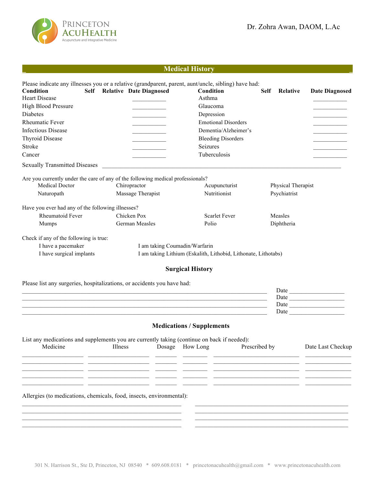



# **\_ Medical History \_**

| Please indicate any illnesses you or a relative (grandparent, parent, aunt/uncle, sibling) have had:<br>Condition |         | Self Relative Date Diagnosed                                                                                          | Condition                                                                                                              |               | Self Relative      | <b>Date Diagnosed</b> |
|-------------------------------------------------------------------------------------------------------------------|---------|-----------------------------------------------------------------------------------------------------------------------|------------------------------------------------------------------------------------------------------------------------|---------------|--------------------|-----------------------|
| <b>Heart Disease</b>                                                                                              |         |                                                                                                                       | Asthma                                                                                                                 |               |                    |                       |
| <b>High Blood Pressure</b>                                                                                        |         |                                                                                                                       | Glaucoma                                                                                                               |               |                    |                       |
| Diabetes                                                                                                          |         | <u> Liston de la construcción de la construcción de la construcción de la construcción de la construcción de la c</u> | Depression                                                                                                             |               |                    |                       |
| <b>Rheumatic Fever</b>                                                                                            |         | <u> 1980 - Johann Barnett, fransk politiker</u>                                                                       | <b>Emotional Disorders</b>                                                                                             |               |                    |                       |
| <b>Infectious Disease</b>                                                                                         |         |                                                                                                                       | Dementia/Alzheimer's                                                                                                   |               |                    |                       |
| <b>Thyroid Disease</b>                                                                                            |         |                                                                                                                       | <b>Bleeding Disorders</b>                                                                                              |               |                    |                       |
| Stroke                                                                                                            |         |                                                                                                                       | Seizures                                                                                                               |               |                    |                       |
| Cancer                                                                                                            |         |                                                                                                                       | Tuberculosis                                                                                                           |               |                    |                       |
| <b>Sexually Transmitted Diseases</b>                                                                              |         |                                                                                                                       |                                                                                                                        |               |                    |                       |
| Are you currently under the care of any of the following medical professionals?                                   |         |                                                                                                                       |                                                                                                                        |               |                    |                       |
| Medical Doctor                                                                                                    |         | Chiropractor                                                                                                          | Acupuncturist                                                                                                          |               | Physical Therapist |                       |
| Naturopath                                                                                                        |         | Massage Therapist                                                                                                     | Nutritionist                                                                                                           |               | Psychiatrist       |                       |
| Have you ever had any of the following illnesses?                                                                 |         |                                                                                                                       |                                                                                                                        |               |                    |                       |
| Rheumatoid Fever                                                                                                  |         | Chicken Pox                                                                                                           | <b>Scarlet Fever</b>                                                                                                   |               | Measles            |                       |
| Mumps                                                                                                             |         | German Measles                                                                                                        | Polio                                                                                                                  |               | Diphtheria         |                       |
| Check if any of the following is true:                                                                            |         |                                                                                                                       |                                                                                                                        |               |                    |                       |
| I have a pacemaker                                                                                                |         | I am taking Coumadin/Warfarin                                                                                         |                                                                                                                        |               |                    |                       |
| I have surgical implants                                                                                          |         |                                                                                                                       | I am taking Lithium (Eskalith, Lithobid, Lithonate, Lithotabs)                                                         |               |                    |                       |
|                                                                                                                   |         |                                                                                                                       | <b>Surgical History</b>                                                                                                |               |                    |                       |
| Please list any surgeries, hospitalizations, or accidents you have had:                                           |         |                                                                                                                       |                                                                                                                        |               |                    |                       |
|                                                                                                                   |         |                                                                                                                       | <u> 1989 - Johann Stoff, deutscher Stoff, der Stoff, der Stoff, der Stoff, der Stoff, der Stoff, der Stoff, der S</u>  |               |                    | Date                  |
|                                                                                                                   |         |                                                                                                                       | <u> 1989 - Johann Stoff, deutscher Stoff, der Stoff, der Stoff, der Stoff, der Stoff, der Stoff, der Stoff, der S</u>  |               |                    | Date                  |
|                                                                                                                   |         |                                                                                                                       | ,我们也不能在这里的时候,我们也不能在这里的时候,我们也不能会在这里的时候,我们也不能会在这里的时候,我们也不能会在这里的时候,我们也不能会在这里的时候,我们也                                       |               |                    |                       |
|                                                                                                                   |         |                                                                                                                       | <u> 1989 - Johann Stoff, deutscher Stoffen und der Stoffen und der Stoffen und der Stoffen und der Stoffen und der</u> |               |                    |                       |
|                                                                                                                   |         |                                                                                                                       | <b>Medications / Supplements</b>                                                                                       |               |                    |                       |
| List any medications and supplements you are currently taking (continue on back if needed):                       |         |                                                                                                                       |                                                                                                                        |               |                    |                       |
| Medicine                                                                                                          | Illness |                                                                                                                       | Dosage How Long                                                                                                        | Prescribed by |                    | Date Last Checkup     |
|                                                                                                                   |         |                                                                                                                       |                                                                                                                        |               |                    |                       |
|                                                                                                                   |         |                                                                                                                       |                                                                                                                        |               |                    |                       |
|                                                                                                                   |         |                                                                                                                       |                                                                                                                        |               |                    |                       |
|                                                                                                                   |         |                                                                                                                       |                                                                                                                        |               |                    |                       |
| Allergies (to medications, chemicals, food, insects, environmental):                                              |         |                                                                                                                       |                                                                                                                        |               |                    |                       |
|                                                                                                                   |         |                                                                                                                       |                                                                                                                        |               |                    |                       |
|                                                                                                                   |         |                                                                                                                       |                                                                                                                        |               |                    |                       |
|                                                                                                                   |         |                                                                                                                       |                                                                                                                        |               |                    |                       |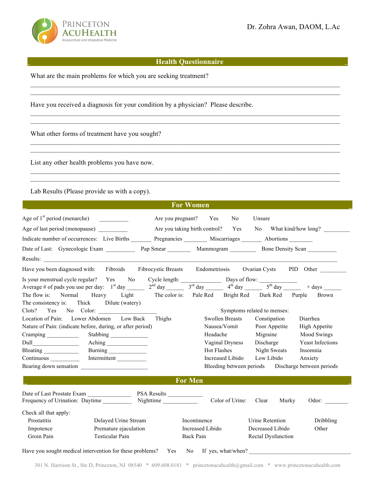

### **\_ Health Questionnaire \_**

 $\mathcal{L}_\mathcal{L} = \mathcal{L}_\mathcal{L} = \mathcal{L}_\mathcal{L} = \mathcal{L}_\mathcal{L} = \mathcal{L}_\mathcal{L} = \mathcal{L}_\mathcal{L} = \mathcal{L}_\mathcal{L} = \mathcal{L}_\mathcal{L} = \mathcal{L}_\mathcal{L} = \mathcal{L}_\mathcal{L} = \mathcal{L}_\mathcal{L} = \mathcal{L}_\mathcal{L} = \mathcal{L}_\mathcal{L} = \mathcal{L}_\mathcal{L} = \mathcal{L}_\mathcal{L} = \mathcal{L}_\mathcal{L} = \mathcal{L}_\mathcal{L}$  $\mathcal{L}_\mathcal{L} = \mathcal{L}_\mathcal{L} = \mathcal{L}_\mathcal{L} = \mathcal{L}_\mathcal{L} = \mathcal{L}_\mathcal{L} = \mathcal{L}_\mathcal{L} = \mathcal{L}_\mathcal{L} = \mathcal{L}_\mathcal{L} = \mathcal{L}_\mathcal{L} = \mathcal{L}_\mathcal{L} = \mathcal{L}_\mathcal{L} = \mathcal{L}_\mathcal{L} = \mathcal{L}_\mathcal{L} = \mathcal{L}_\mathcal{L} = \mathcal{L}_\mathcal{L} = \mathcal{L}_\mathcal{L} = \mathcal{L}_\mathcal{L}$ 

 $\mathcal{L}_\mathcal{L} = \mathcal{L}_\mathcal{L} = \mathcal{L}_\mathcal{L} = \mathcal{L}_\mathcal{L} = \mathcal{L}_\mathcal{L} = \mathcal{L}_\mathcal{L} = \mathcal{L}_\mathcal{L} = \mathcal{L}_\mathcal{L} = \mathcal{L}_\mathcal{L} = \mathcal{L}_\mathcal{L} = \mathcal{L}_\mathcal{L} = \mathcal{L}_\mathcal{L} = \mathcal{L}_\mathcal{L} = \mathcal{L}_\mathcal{L} = \mathcal{L}_\mathcal{L} = \mathcal{L}_\mathcal{L} = \mathcal{L}_\mathcal{L}$  $\mathcal{L}_\mathcal{L} = \mathcal{L}_\mathcal{L} = \mathcal{L}_\mathcal{L} = \mathcal{L}_\mathcal{L} = \mathcal{L}_\mathcal{L} = \mathcal{L}_\mathcal{L} = \mathcal{L}_\mathcal{L} = \mathcal{L}_\mathcal{L} = \mathcal{L}_\mathcal{L} = \mathcal{L}_\mathcal{L} = \mathcal{L}_\mathcal{L} = \mathcal{L}_\mathcal{L} = \mathcal{L}_\mathcal{L} = \mathcal{L}_\mathcal{L} = \mathcal{L}_\mathcal{L} = \mathcal{L}_\mathcal{L} = \mathcal{L}_\mathcal{L}$ 

What are the main problems for which you are seeking treatment?

Have you received a diagnosis for your condition by a physician? Please describe.

What other forms of treatment have you sought?

List any other health problems you have now.

Lab Results (Please provide us with a copy).

|                                |                                                                                                                                                                                                                                                                                                     |                                                   | <b>For Women</b>      |                        |                             |                                                          |
|--------------------------------|-----------------------------------------------------------------------------------------------------------------------------------------------------------------------------------------------------------------------------------------------------------------------------------------------------|---------------------------------------------------|-----------------------|------------------------|-----------------------------|----------------------------------------------------------|
| Age of $1st$ period (menarche) |                                                                                                                                                                                                                                                                                                     |                                                   | Are you pregnant? Yes | No.                    | Unsure                      |                                                          |
| Age of last period (menopause) |                                                                                                                                                                                                                                                                                                     |                                                   |                       |                        |                             | Are you taking birth control? Yes No What kind/how long? |
|                                | Indicate number of occurrences: Live Births Pregnancies Miscarriages Abortions                                                                                                                                                                                                                      |                                                   |                       |                        |                             |                                                          |
|                                |                                                                                                                                                                                                                                                                                                     |                                                   |                       |                        |                             |                                                          |
|                                |                                                                                                                                                                                                                                                                                                     |                                                   |                       |                        |                             |                                                          |
|                                | Have you been diagnosed with: Fibroids Fibrocystic Breasts Endometriosis                                                                                                                                                                                                                            |                                                   |                       |                        |                             | Ovarian Cysts PID Other                                  |
|                                |                                                                                                                                                                                                                                                                                                     |                                                   |                       |                        |                             |                                                          |
|                                | Is your menstrual cycle regular? Yes No Cycle length: Days of flow: $\frac{1}{3^{rd}}$ day $\frac{1}{3^{rd}}$ day $\frac{1}{3^{rd}}$ day $\frac{1}{3^{rd}}$ day $\frac{1}{3^{rd}}$ day $\frac{1}{3^{rd}}$ day $\frac{1}{3^{rd}}$ day $\frac{1}{3^{rd}}$ day $\frac{1}{3^{rd}}$ day $\frac{1}{3^{rd$ |                                                   |                       |                        |                             |                                                          |
|                                | The flow is: Normal Heavy Light                                                                                                                                                                                                                                                                     | The color is: Pale Red Bright Red Dark Red Purple |                       |                        |                             | <b>Brown</b>                                             |
|                                | The consistency is: Thick Dilute (watery)                                                                                                                                                                                                                                                           |                                                   |                       |                        |                             |                                                          |
| Clots?                         |                                                                                                                                                                                                                                                                                                     |                                                   |                       |                        | Symptoms related to menses: |                                                          |
|                                | Location of Pain: Lower Abdomen Low Back                                                                                                                                                                                                                                                            | Thighs                                            |                       | <b>Swollen Breasts</b> | Constipation                | Diarrhea                                                 |
|                                | Nature of Pain: (indicate before, during, or after period)                                                                                                                                                                                                                                          |                                                   |                       | Nausea/Vomit           | Poor Appetite               | High Appetite                                            |
| Cramping ______________        |                                                                                                                                                                                                                                                                                                     |                                                   | Headache              |                        | Migraine                    | <b>Mood Swings</b>                                       |
|                                |                                                                                                                                                                                                                                                                                                     |                                                   |                       | Vaginal Dryness        | Discharge                   | <b>Yeast Infections</b>                                  |
| Bloating ______________        | Burning                                                                                                                                                                                                                                                                                             |                                                   | <b>Hot Flashes</b>    |                        | Night Sweats                | Insomnia                                                 |
|                                | Continuous _______________ Intermittent __________                                                                                                                                                                                                                                                  |                                                   |                       | Increased Libido       | Low Libido                  | Anxiety                                                  |
|                                | Bearing down sensation                                                                                                                                                                                                                                                                              |                                                   |                       |                        |                             | Bleeding between periods Discharge between periods       |
|                                |                                                                                                                                                                                                                                                                                                     |                                                   | <b>For Men</b>        |                        |                             |                                                          |
|                                |                                                                                                                                                                                                                                                                                                     |                                                   |                       |                        |                             |                                                          |
|                                | Frequency of Urination: Daytime Nighttime                                                                                                                                                                                                                                                           |                                                   |                       | Color of Urine: Clear  |                             | Murky<br>Odor:                                           |
| Check all that apply:          |                                                                                                                                                                                                                                                                                                     |                                                   |                       |                        |                             |                                                          |
| Prostatitis                    | Delayed Urine Stream                                                                                                                                                                                                                                                                                |                                                   | Incontinence          |                        | Urine Retention             | Dribbling                                                |
| Impotence                      | Premature ejaculation                                                                                                                                                                                                                                                                               |                                                   | Increased Libido      |                        | Decreased Libido            | Other                                                    |
| Groin Pain                     | Testicular Pain                                                                                                                                                                                                                                                                                     |                                                   | Back Pain             |                        | Rectal Dysfunction          |                                                          |
|                                | Have you sought medical intervention for these problems? Yes No If yes, what/when?                                                                                                                                                                                                                  |                                                   |                       |                        |                             |                                                          |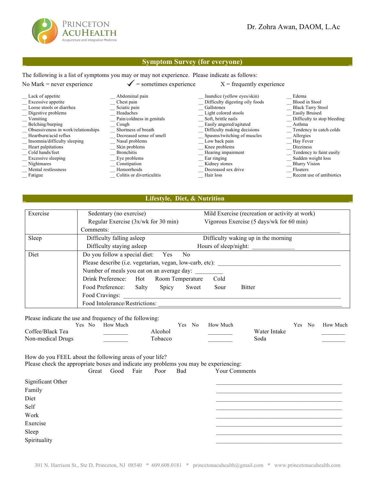

#### \_ **Symptom Survey (for everyone) \_**

The following is a list of symptoms you may or may not experience. Please indicate as follows:

| No Mark $=$ never experience        | $=$ sometimes experience  | $X =$ frequently experience     |                             |
|-------------------------------------|---------------------------|---------------------------------|-----------------------------|
| Lack of appetite                    | Abdominal pain            | Jaundice (yellow eyes/skin)     | Edema                       |
| Excessive appetite                  | Chest pain                | Difficulty digesting oily foods | Blood in Stool              |
| Loose stools or diarrhea            | Sciatic pain              | Gallstones                      | <b>Black Tarry Stool</b>    |
| Digestive problems                  | Headaches                 | Light colored stools            | Easily Bruised              |
| Vomiting                            | Pain/coldness in genitals | Soft, brittle nails             | Difficulty to stop bleeding |
| Belching/burping                    | Cough                     | Easily angered/agitated         | Asthma                      |
| Obsessiveness in work/relationships | Shortness of breath       | Difficulty making decisions     | Tendency to catch colds     |
| Heartburn/acid reflux               | Decreased sense of smell  | Spasms/twitching of muscles     | Allergies                   |
| Insomnia/difficulty sleeping        | Nasal problems            | Low back pain                   | Hay Fever                   |
| Heart palpitations                  | Skin problems             | Knee problems                   | <b>Dizziness</b>            |
| Cold hands/feet                     | <b>Bronchitis</b>         | Hearing impairment              | Tendency to faint easily    |
| Excessive sleeping                  | Eye problems              | Ear ringing                     | Sudden weight loss          |
| Nightmares                          | Constipation              | Kidney stones                   | <b>Blurry Vision</b>        |
| Mental restlessness                 | Hemorrhoids               | Decreased sex drive             | <b>Floaters</b>             |
| Fatigue                             | Colitis or diverticulitis | Hair loss                       | Recent use of antibiotics   |

#### **\_ Lifestyle, Diet, & Nutrition \_**

| Exercise | Sedentary (no exercise)                                  | Mild Exercise (recreation or activity at work) |  |  |  |  |  |
|----------|----------------------------------------------------------|------------------------------------------------|--|--|--|--|--|
|          | Regular Exercise (3x/wk for 30 min)                      | Vigorous Exercise (5 days/wk for 60 min)       |  |  |  |  |  |
|          | Comments:                                                |                                                |  |  |  |  |  |
| Sleep    | Difficulty falling asleep                                | Difficulty waking up in the morning            |  |  |  |  |  |
|          | Difficulty staying asleep                                | Hours of sleep/night:                          |  |  |  |  |  |
| Diet     | Do you follow a special diet: Yes<br>N <sub>0</sub>      |                                                |  |  |  |  |  |
|          | Please describe (i.e. vegetarian, vegan, low-carb, etc): |                                                |  |  |  |  |  |
|          | Number of meals you eat on an average day:               |                                                |  |  |  |  |  |
|          | Drink Preference: Hot Room Temperature                   | Cold                                           |  |  |  |  |  |
|          | Food Preference:<br>Salty<br>Spicy<br>Sweet              | <b>Bitter</b><br>Sour                          |  |  |  |  |  |
|          | Food Cravings:                                           |                                                |  |  |  |  |  |
|          | Food Intolerance/Restrictions:                           |                                                |  |  |  |  |  |

Please indicate the use and frequency of the following:

|                   | Yes No | How Much |         | Yes No | <b>How Much</b> |              | Yes No | <b>How Much</b> |
|-------------------|--------|----------|---------|--------|-----------------|--------------|--------|-----------------|
| Coffee/Black Tea  |        |          | Alcohol |        |                 | Water Intake |        |                 |
| Non-medical Drugs |        |          | Tobacco |        |                 | Soda         |        |                 |

How do you FEEL about the following areas of your life? Please check the appropriate boxes and indicate any problems you may be experiencing:

|                                       | Great Good Fair | Poor | Bad | <b>Your Comments</b> |  |
|---------------------------------------|-----------------|------|-----|----------------------|--|
| $C: \ldots: C \longrightarrow \Omega$ |                 |      |     |                      |  |

| Significant Other |  |
|-------------------|--|
| Family            |  |
| Diet              |  |
| Self              |  |
| Work              |  |
| Exercise          |  |
| Sleep             |  |
| Spirituality      |  |